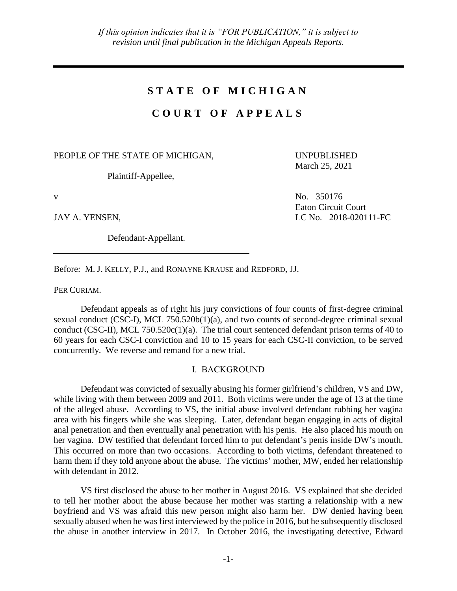# **S T A T E O F M I C H I G A N**

# **C O U R T O F A P P E A L S**

PEOPLE OF THE STATE OF MICHIGAN,

Plaintiff-Appellee,

Defendant-Appellant.

UNPUBLISHED March 25, 2021

v No. 350176 Eaton Circuit Court JAY A. YENSEN, LC No. 2018-020111-FC

Before: M. J. KELLY, P.J., and RONAYNE KRAUSE and REDFORD, JJ.

PER CURIAM.

Defendant appeals as of right his jury convictions of four counts of first-degree criminal sexual conduct (CSC-I), MCL 750.520b(1)(a), and two counts of second-degree criminal sexual conduct (CSC-II), MCL 750.520c(1)(a). The trial court sentenced defendant prison terms of 40 to 60 years for each CSC-I conviction and 10 to 15 years for each CSC-II conviction, to be served concurrently. We reverse and remand for a new trial.

## I. BACKGROUND

Defendant was convicted of sexually abusing his former girlfriend's children, VS and DW, while living with them between 2009 and 2011. Both victims were under the age of 13 at the time of the alleged abuse. According to VS, the initial abuse involved defendant rubbing her vagina area with his fingers while she was sleeping. Later, defendant began engaging in acts of digital anal penetration and then eventually anal penetration with his penis. He also placed his mouth on her vagina. DW testified that defendant forced him to put defendant's penis inside DW's mouth. This occurred on more than two occasions. According to both victims, defendant threatened to harm them if they told anyone about the abuse. The victims' mother, MW, ended her relationship with defendant in 2012.

VS first disclosed the abuse to her mother in August 2016. VS explained that she decided to tell her mother about the abuse because her mother was starting a relationship with a new boyfriend and VS was afraid this new person might also harm her. DW denied having been sexually abused when he was first interviewed by the police in 2016, but he subsequently disclosed the abuse in another interview in 2017. In October 2016, the investigating detective, Edward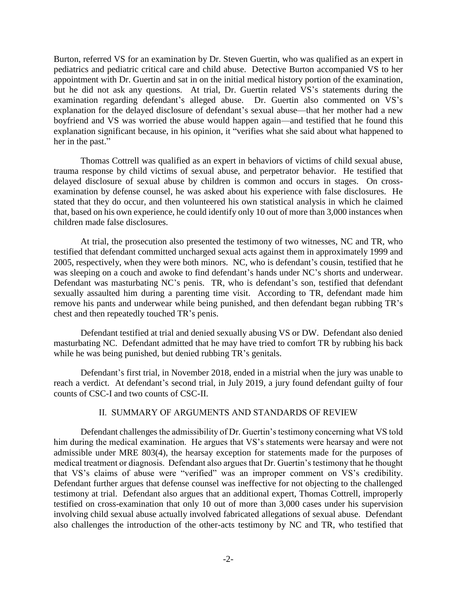Burton, referred VS for an examination by Dr. Steven Guertin, who was qualified as an expert in pediatrics and pediatric critical care and child abuse. Detective Burton accompanied VS to her appointment with Dr. Guertin and sat in on the initial medical history portion of the examination, but he did not ask any questions. At trial, Dr. Guertin related VS's statements during the examination regarding defendant's alleged abuse. Dr. Guertin also commented on VS's explanation for the delayed disclosure of defendant's sexual abuse—that her mother had a new boyfriend and VS was worried the abuse would happen again—and testified that he found this explanation significant because, in his opinion, it "verifies what she said about what happened to her in the past."

Thomas Cottrell was qualified as an expert in behaviors of victims of child sexual abuse, trauma response by child victims of sexual abuse, and perpetrator behavior. He testified that delayed disclosure of sexual abuse by children is common and occurs in stages. On crossexamination by defense counsel, he was asked about his experience with false disclosures. He stated that they do occur, and then volunteered his own statistical analysis in which he claimed that, based on his own experience, he could identify only 10 out of more than 3,000 instances when children made false disclosures.

At trial, the prosecution also presented the testimony of two witnesses, NC and TR, who testified that defendant committed uncharged sexual acts against them in approximately 1999 and 2005, respectively, when they were both minors. NC, who is defendant's cousin, testified that he was sleeping on a couch and awoke to find defendant's hands under NC's shorts and underwear. Defendant was masturbating NC's penis. TR, who is defendant's son, testified that defendant sexually assaulted him during a parenting time visit. According to TR, defendant made him remove his pants and underwear while being punished, and then defendant began rubbing TR's chest and then repeatedly touched TR's penis.

Defendant testified at trial and denied sexually abusing VS or DW. Defendant also denied masturbating NC. Defendant admitted that he may have tried to comfort TR by rubbing his back while he was being punished, but denied rubbing TR's genitals.

Defendant's first trial, in November 2018, ended in a mistrial when the jury was unable to reach a verdict. At defendant's second trial, in July 2019, a jury found defendant guilty of four counts of CSC-I and two counts of CSC-II.

## II. SUMMARY OF ARGUMENTS AND STANDARDS OF REVIEW

Defendant challenges the admissibility of Dr. Guertin's testimony concerning what VS told him during the medical examination. He argues that VS's statements were hearsay and were not admissible under MRE 803(4), the hearsay exception for statements made for the purposes of medical treatment or diagnosis. Defendant also argues that Dr. Guertin's testimony that he thought that VS's claims of abuse were "verified" was an improper comment on VS's credibility. Defendant further argues that defense counsel was ineffective for not objecting to the challenged testimony at trial. Defendant also argues that an additional expert, Thomas Cottrell, improperly testified on cross-examination that only 10 out of more than 3,000 cases under his supervision involving child sexual abuse actually involved fabricated allegations of sexual abuse. Defendant also challenges the introduction of the other-acts testimony by NC and TR, who testified that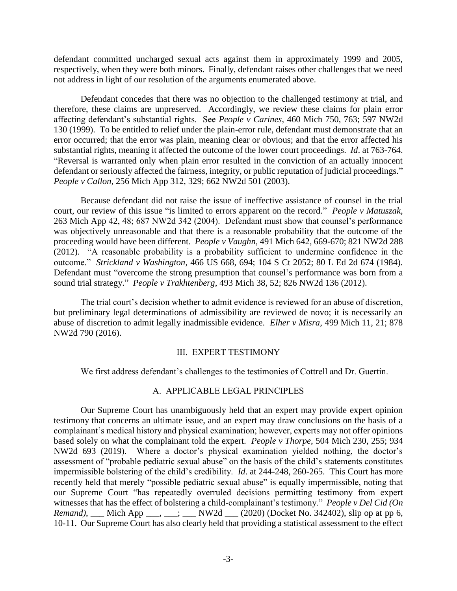defendant committed uncharged sexual acts against them in approximately 1999 and 2005, respectively, when they were both minors. Finally, defendant raises other challenges that we need not address in light of our resolution of the arguments enumerated above.

Defendant concedes that there was no objection to the challenged testimony at trial, and therefore, these claims are unpreserved. Accordingly, we review these claims for plain error affecting defendant's substantial rights. See *People v Carines*, 460 Mich 750, 763; 597 NW2d 130 (1999). To be entitled to relief under the plain-error rule, defendant must demonstrate that an error occurred; that the error was plain, meaning clear or obvious; and that the error affected his substantial rights, meaning it affected the outcome of the lower court proceedings. *Id*. at 763-764. "Reversal is warranted only when plain error resulted in the conviction of an actually innocent defendant or seriously affected the fairness, integrity, or public reputation of judicial proceedings." *People v Callon*, 256 Mich App 312, 329; 662 NW2d 501 (2003).

Because defendant did not raise the issue of ineffective assistance of counsel in the trial court, our review of this issue "is limited to errors apparent on the record." *People v Matuszak*, 263 Mich App 42, 48; 687 NW2d 342 (2004). Defendant must show that counsel's performance was objectively unreasonable and that there is a reasonable probability that the outcome of the proceeding would have been different. *People v Vaughn*, 491 Mich 642, 669-670; 821 NW2d 288 (2012). "A reasonable probability is a probability sufficient to undermine confidence in the outcome." *Strickland v Washington*, 466 US 668, 694; 104 S Ct 2052; 80 L Ed 2d 674 (1984). Defendant must "overcome the strong presumption that counsel's performance was born from a sound trial strategy." *People v Trakhtenberg*, 493 Mich 38, 52; 826 NW2d 136 (2012).

The trial court's decision whether to admit evidence is reviewed for an abuse of discretion, but preliminary legal determinations of admissibility are reviewed de novo; it is necessarily an abuse of discretion to admit legally inadmissible evidence. *Elher v Misra*, 499 Mich 11, 21; 878 NW2d 790 (2016).

#### III. EXPERT TESTIMONY

We first address defendant's challenges to the testimonies of Cottrell and Dr. Guertin.

## A. APPLICABLE LEGAL PRINCIPLES

Our Supreme Court has unambiguously held that an expert may provide expert opinion testimony that concerns an ultimate issue, and an expert may draw conclusions on the basis of a complainant's medical history and physical examination; however, experts may not offer opinions based solely on what the complainant told the expert. *People v Thorpe*, 504 Mich 230, 255; 934 NW2d 693 (2019). Where a doctor's physical examination yielded nothing, the doctor's assessment of "probable pediatric sexual abuse" on the basis of the child's statements constitutes impermissible bolstering of the child's credibility. *Id*. at 244-248, 260-265. This Court has more recently held that merely "possible pediatric sexual abuse" is equally impermissible, noting that our Supreme Court "has repeatedly overruled decisions permitting testimony from expert witnesses that has the effect of bolstering a child-complainant's testimony." *People v Del Cid (On Remand*), \_\_\_ Mich App \_\_\_, \_\_; \_\_\_ NW2d \_\_\_ (2020) (Docket No. 342402), slip op at pp 6, 10-11. Our Supreme Court has also clearly held that providing a statistical assessment to the effect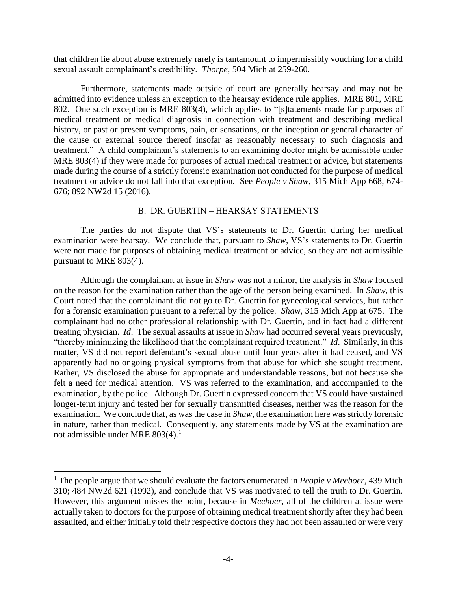that children lie about abuse extremely rarely is tantamount to impermissibly vouching for a child sexual assault complainant's credibility. *Thorpe*, 504 Mich at 259-260.

Furthermore, statements made outside of court are generally hearsay and may not be admitted into evidence unless an exception to the hearsay evidence rule applies. MRE 801, MRE 802. One such exception is MRE 803(4), which applies to "[s]tatements made for purposes of medical treatment or medical diagnosis in connection with treatment and describing medical history, or past or present symptoms, pain, or sensations, or the inception or general character of the cause or external source thereof insofar as reasonably necessary to such diagnosis and treatment." A child complainant's statements to an examining doctor might be admissible under MRE 803(4) if they were made for purposes of actual medical treatment or advice, but statements made during the course of a strictly forensic examination not conducted for the purpose of medical treatment or advice do not fall into that exception. See *People v Shaw*, 315 Mich App 668, 674- 676; 892 NW2d 15 (2016).

#### B. DR. GUERTIN – HEARSAY STATEMENTS

The parties do not dispute that VS's statements to Dr. Guertin during her medical examination were hearsay. We conclude that, pursuant to *Shaw*, VS's statements to Dr. Guertin were not made for purposes of obtaining medical treatment or advice, so they are not admissible pursuant to MRE 803(4).

Although the complainant at issue in *Shaw* was not a minor, the analysis in *Shaw* focused on the reason for the examination rather than the age of the person being examined. In *Shaw*, this Court noted that the complainant did not go to Dr. Guertin for gynecological services, but rather for a forensic examination pursuant to a referral by the police. *Shaw*, 315 Mich App at 675. The complainant had no other professional relationship with Dr. Guertin, and in fact had a different treating physician. *Id*. The sexual assaults at issue in *Shaw* had occurred several years previously, "thereby minimizing the likelihood that the complainant required treatment." *Id*. Similarly, in this matter, VS did not report defendant's sexual abuse until four years after it had ceased, and VS apparently had no ongoing physical symptoms from that abuse for which she sought treatment. Rather, VS disclosed the abuse for appropriate and understandable reasons, but not because she felt a need for medical attention. VS was referred to the examination, and accompanied to the examination, by the police. Although Dr. Guertin expressed concern that VS could have sustained longer-term injury and tested her for sexually transmitted diseases, neither was the reason for the examination. We conclude that, as was the case in *Shaw*, the examination here was strictly forensic in nature, rather than medical. Consequently, any statements made by VS at the examination are not admissible under MRE  $803(4)$ .<sup>1</sup>

 $\overline{a}$ 

<sup>1</sup> The people argue that we should evaluate the factors enumerated in *People v Meeboer*, 439 Mich 310; 484 NW2d 621 (1992), and conclude that VS was motivated to tell the truth to Dr. Guertin. However, this argument misses the point, because in *Meeboer*, all of the children at issue were actually taken to doctors for the purpose of obtaining medical treatment shortly after they had been assaulted, and either initially told their respective doctors they had not been assaulted or were very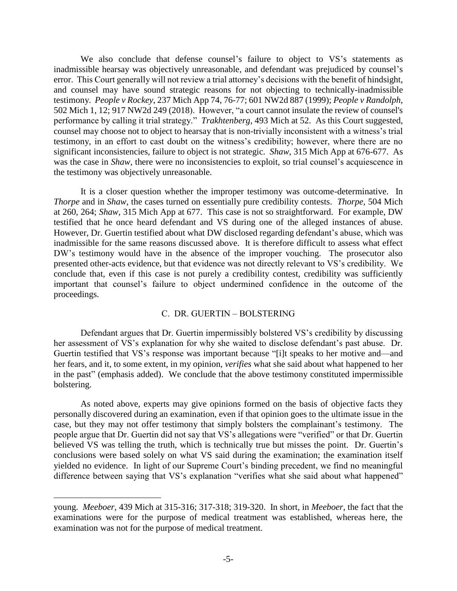We also conclude that defense counsel's failure to object to VS's statements as inadmissible hearsay was objectively unreasonable, and defendant was prejudiced by counsel's error. This Court generally will not review a trial attorney's decisions with the benefit of hindsight, and counsel may have sound strategic reasons for not objecting to technically-inadmissible testimony. *People v Rockey*, 237 Mich App 74, 76-77; 601 NW2d 887 (1999); *People v Randolph*, 502 Mich 1, 12; 917 NW2d 249 (2018). However, "a court cannot insulate the review of counsel's performance by calling it trial strategy." *Trakhtenberg*, 493 Mich at 52. As this Court suggested, counsel may choose not to object to hearsay that is non-trivially inconsistent with a witness's trial testimony, in an effort to cast doubt on the witness's credibility; however, where there are no significant inconsistencies, failure to object is not strategic. *Shaw*, 315 Mich App at 676-677. As was the case in *Shaw*, there were no inconsistencies to exploit, so trial counsel's acquiescence in the testimony was objectively unreasonable.

It is a closer question whether the improper testimony was outcome-determinative. In *Thorpe* and in *Shaw*, the cases turned on essentially pure credibility contests. *Thorpe*, 504 Mich at 260, 264; *Shaw*, 315 Mich App at 677. This case is not so straightforward. For example, DW testified that he once heard defendant and VS during one of the alleged instances of abuse. However, Dr. Guertin testified about what DW disclosed regarding defendant's abuse, which was inadmissible for the same reasons discussed above. It is therefore difficult to assess what effect DW's testimony would have in the absence of the improper vouching. The prosecutor also presented other-acts evidence, but that evidence was not directly relevant to VS's credibility. We conclude that, even if this case is not purely a credibility contest, credibility was sufficiently important that counsel's failure to object undermined confidence in the outcome of the proceedings.

#### C. DR. GUERTIN – BOLSTERING

Defendant argues that Dr. Guertin impermissibly bolstered VS's credibility by discussing her assessment of VS's explanation for why she waited to disclose defendant's past abuse. Dr. Guertin testified that VS's response was important because "[i]t speaks to her motive and—and her fears, and it, to some extent, in my opinion, *verifies* what she said about what happened to her in the past" (emphasis added). We conclude that the above testimony constituted impermissible bolstering.

As noted above, experts may give opinions formed on the basis of objective facts they personally discovered during an examination, even if that opinion goes to the ultimate issue in the case, but they may not offer testimony that simply bolsters the complainant's testimony. The people argue that Dr. Guertin did not say that VS's allegations were "verified" or that Dr. Guertin believed VS was telling the truth, which is technically true but misses the point. Dr. Guertin's conclusions were based solely on what VS said during the examination; the examination itself yielded no evidence. In light of our Supreme Court's binding precedent, we find no meaningful difference between saying that VS's explanation "verifies what she said about what happened"

 $\overline{a}$ 

young. *Meeboer*, 439 Mich at 315-316; 317-318; 319-320. In short, in *Meeboer*, the fact that the examinations were for the purpose of medical treatment was established, whereas here, the examination was not for the purpose of medical treatment.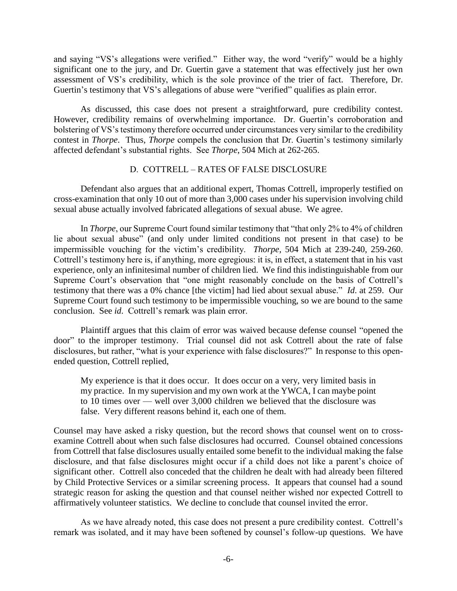and saying "VS's allegations were verified." Either way, the word "verify" would be a highly significant one to the jury, and Dr. Guertin gave a statement that was effectively just her own assessment of VS's credibility, which is the sole province of the trier of fact. Therefore, Dr. Guertin's testimony that VS's allegations of abuse were "verified" qualifies as plain error.

As discussed, this case does not present a straightforward, pure credibility contest. However, credibility remains of overwhelming importance. Dr. Guertin's corroboration and bolstering of VS's testimony therefore occurred under circumstances very similar to the credibility contest in *Thorpe*. Thus, *Thorpe* compels the conclusion that Dr. Guertin's testimony similarly affected defendant's substantial rights. See *Thorpe*, 504 Mich at 262-265.

### D. COTTRELL – RATES OF FALSE DISCLOSURE

Defendant also argues that an additional expert, Thomas Cottrell, improperly testified on cross-examination that only 10 out of more than 3,000 cases under his supervision involving child sexual abuse actually involved fabricated allegations of sexual abuse. We agree.

In *Thorpe*, our Supreme Court found similar testimony that "that only 2% to 4% of children lie about sexual abuse" (and only under limited conditions not present in that case) to be impermissible vouching for the victim's credibility. *Thorpe*, 504 Mich at 239-240, 259-260. Cottrell's testimony here is, if anything, more egregious: it is, in effect, a statement that in his vast experience, only an infinitesimal number of children lied. We find this indistinguishable from our Supreme Court's observation that "one might reasonably conclude on the basis of Cottrell's testimony that there was a 0% chance [the victim] had lied about sexual abuse." *Id*. at 259. Our Supreme Court found such testimony to be impermissible vouching, so we are bound to the same conclusion. See *id*. Cottrell's remark was plain error.

Plaintiff argues that this claim of error was waived because defense counsel "opened the door" to the improper testimony. Trial counsel did not ask Cottrell about the rate of false disclosures, but rather, "what is your experience with false disclosures?" In response to this openended question, Cottrell replied,

My experience is that it does occur. It does occur on a very, very limited basis in my practice. In my supervision and my own work at the YWCA, I can maybe point to 10 times over — well over 3,000 children we believed that the disclosure was false. Very different reasons behind it, each one of them.

Counsel may have asked a risky question, but the record shows that counsel went on to crossexamine Cottrell about when such false disclosures had occurred. Counsel obtained concessions from Cottrell that false disclosures usually entailed some benefit to the individual making the false disclosure, and that false disclosures might occur if a child does not like a parent's choice of significant other. Cottrell also conceded that the children he dealt with had already been filtered by Child Protective Services or a similar screening process. It appears that counsel had a sound strategic reason for asking the question and that counsel neither wished nor expected Cottrell to affirmatively volunteer statistics. We decline to conclude that counsel invited the error.

As we have already noted, this case does not present a pure credibility contest. Cottrell's remark was isolated, and it may have been softened by counsel's follow-up questions. We have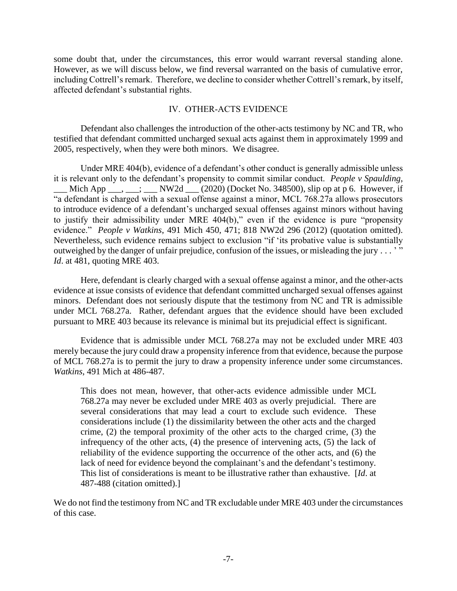some doubt that, under the circumstances, this error would warrant reversal standing alone. However, as we will discuss below, we find reversal warranted on the basis of cumulative error, including Cottrell's remark. Therefore, we decline to consider whether Cottrell's remark, by itself, affected defendant's substantial rights.

## IV. OTHER-ACTS EVIDENCE

Defendant also challenges the introduction of the other-acts testimony by NC and TR, who testified that defendant committed uncharged sexual acts against them in approximately 1999 and 2005, respectively, when they were both minors. We disagree.

Under MRE 404(b), evidence of a defendant's other conduct is generally admissible unless it is relevant only to the defendant's propensity to commit similar conduct. *People v Spaulding*, Mich App  $\frac{1}{\sqrt{2}}$ ;  $\frac{1}{\sqrt{2}}$  NW2d  $\frac{1}{\sqrt{2}}$  (2020) (Docket No. 348500), slip op at p 6. However, if "a defendant is charged with a sexual offense against a minor, MCL 768.27a allows prosecutors to introduce evidence of a defendant's uncharged sexual offenses against minors without having to justify their admissibility under MRE 404(b)," even if the evidence is pure "propensity evidence." *People v Watkins*, 491 Mich 450, 471; 818 NW2d 296 (2012) (quotation omitted). Nevertheless, such evidence remains subject to exclusion "if 'its probative value is substantially outweighed by the danger of unfair prejudice, confusion of the issues, or misleading the jury  $\dots$ " *Id*. at 481, quoting MRE 403.

Here, defendant is clearly charged with a sexual offense against a minor, and the other-acts evidence at issue consists of evidence that defendant committed uncharged sexual offenses against minors. Defendant does not seriously dispute that the testimony from NC and TR is admissible under MCL 768.27a. Rather, defendant argues that the evidence should have been excluded pursuant to MRE 403 because its relevance is minimal but its prejudicial effect is significant.

Evidence that is admissible under MCL 768.27a may not be excluded under MRE 403 merely because the jury could draw a propensity inference from that evidence, because the purpose of MCL 768.27a is to permit the jury to draw a propensity inference under some circumstances. *Watkins*, 491 Mich at 486-487.

This does not mean, however, that other-acts evidence admissible under MCL 768.27a may never be excluded under MRE 403 as overly prejudicial. There are several considerations that may lead a court to exclude such evidence. These considerations include (1) the dissimilarity between the other acts and the charged crime, (2) the temporal proximity of the other acts to the charged crime, (3) the infrequency of the other acts, (4) the presence of intervening acts, (5) the lack of reliability of the evidence supporting the occurrence of the other acts, and (6) the lack of need for evidence beyond the complainant's and the defendant's testimony. This list of considerations is meant to be illustrative rather than exhaustive. [*Id*. at 487-488 (citation omitted).]

We do not find the testimony from NC and TR excludable under MRE 403 under the circumstances of this case.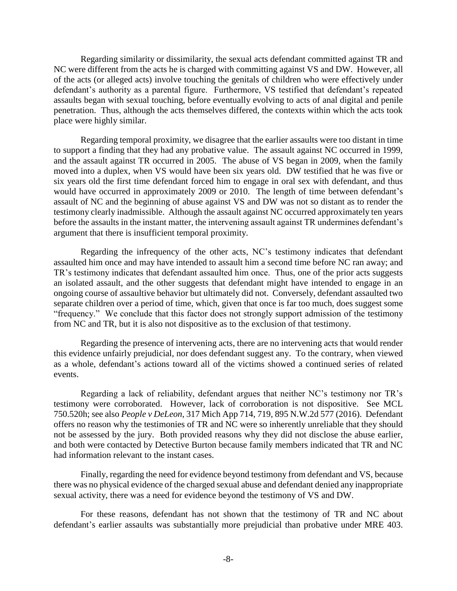Regarding similarity or dissimilarity, the sexual acts defendant committed against TR and NC were different from the acts he is charged with committing against VS and DW. However, all of the acts (or alleged acts) involve touching the genitals of children who were effectively under defendant's authority as a parental figure. Furthermore, VS testified that defendant's repeated assaults began with sexual touching, before eventually evolving to acts of anal digital and penile penetration. Thus, although the acts themselves differed, the contexts within which the acts took place were highly similar.

Regarding temporal proximity, we disagree that the earlier assaults were too distant in time to support a finding that they had any probative value. The assault against NC occurred in 1999, and the assault against TR occurred in 2005. The abuse of VS began in 2009, when the family moved into a duplex, when VS would have been six years old. DW testified that he was five or six years old the first time defendant forced him to engage in oral sex with defendant, and thus would have occurred in approximately 2009 or 2010. The length of time between defendant's assault of NC and the beginning of abuse against VS and DW was not so distant as to render the testimony clearly inadmissible. Although the assault against NC occurred approximately ten years before the assaults in the instant matter, the intervening assault against TR undermines defendant's argument that there is insufficient temporal proximity.

Regarding the infrequency of the other acts, NC's testimony indicates that defendant assaulted him once and may have intended to assault him a second time before NC ran away; and TR's testimony indicates that defendant assaulted him once. Thus, one of the prior acts suggests an isolated assault, and the other suggests that defendant might have intended to engage in an ongoing course of assaultive behavior but ultimately did not. Conversely, defendant assaulted two separate children over a period of time, which, given that once is far too much, does suggest some "frequency." We conclude that this factor does not strongly support admission of the testimony from NC and TR, but it is also not dispositive as to the exclusion of that testimony.

Regarding the presence of intervening acts, there are no intervening acts that would render this evidence unfairly prejudicial, nor does defendant suggest any. To the contrary, when viewed as a whole, defendant's actions toward all of the victims showed a continued series of related events.

Regarding a lack of reliability, defendant argues that neither NC's testimony nor TR's testimony were corroborated. However, lack of corroboration is not dispositive. See MCL 750.520h; see also *People v DeLeon*, 317 Mich App 714, 719, 895 N.W.2d 577 (2016). Defendant offers no reason why the testimonies of TR and NC were so inherently unreliable that they should not be assessed by the jury. Both provided reasons why they did not disclose the abuse earlier, and both were contacted by Detective Burton because family members indicated that TR and NC had information relevant to the instant cases.

Finally, regarding the need for evidence beyond testimony from defendant and VS, because there was no physical evidence of the charged sexual abuse and defendant denied any inappropriate sexual activity, there was a need for evidence beyond the testimony of VS and DW.

For these reasons, defendant has not shown that the testimony of TR and NC about defendant's earlier assaults was substantially more prejudicial than probative under MRE 403.